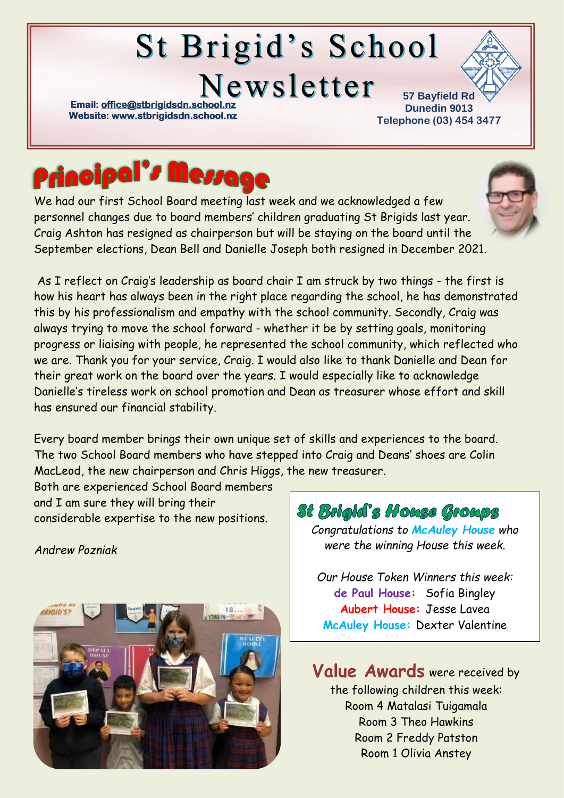# St Brigid's School Newsletter

**Email: office@stbrigidsdn.school Website[: www.stbrigidsdn.school.nz](http://www.stbrigidsdn.school.nz/)** 

**57 Bayfield Rd Dunedin 9013 Telephone (03) 454 3477** 



We had our first School Board meeting last week and we acknowledged a few personnel changes due to board members' children graduating St Brigids last year. Craig Ashton has resigned as chairperson but will be staying on the board until the September elections, Dean Bell and Danielle Joseph both resigned in December 2021.

As I reflect on Craig's leadership as board chair I am struck by two things - the first is how his heart has always been in the right place regarding the school, he has demonstrated this by his professionalism and empathy with the school community. Secondly, Craig was always trying to move the school forward - whether it be by setting goals, monitoring progress or liaising with people, he represented the school community, which reflected who we are. Thank you for your service, Craig. I would also like to thank Danielle and Dean for their great work on the board over the years. I would especially like to acknowledge Danielle's tireless work on school promotion and Dean as treasurer whose effort and skill has ensured our financial stability.

Every board member brings their own unique set of skills and experiences to the board. The two School Board members who have stepped into Craig and Deans' shoes are Colin MacLeod, the new chairperson and Chris Higgs, the new treasurer.

Both are experienced School Board members and I am sure they will bring their considerable expertise to the new positions.

*Andrew Pozniak*



St Brigid's House Groups

*Congratulations to McAuley House who were the winning House this week.*

*Our House Token Winners this week:* **de Paul House:** Sofia Bingley **Aubert House:** Jesse Lavea **McAuley House:** Dexter Valentine

Value Awards were received by the following children this week: Room 4 Matalasi Tuigamala Room 3 Theo Hawkins Room 2 Freddy Patston Room 1 Olivia Anstey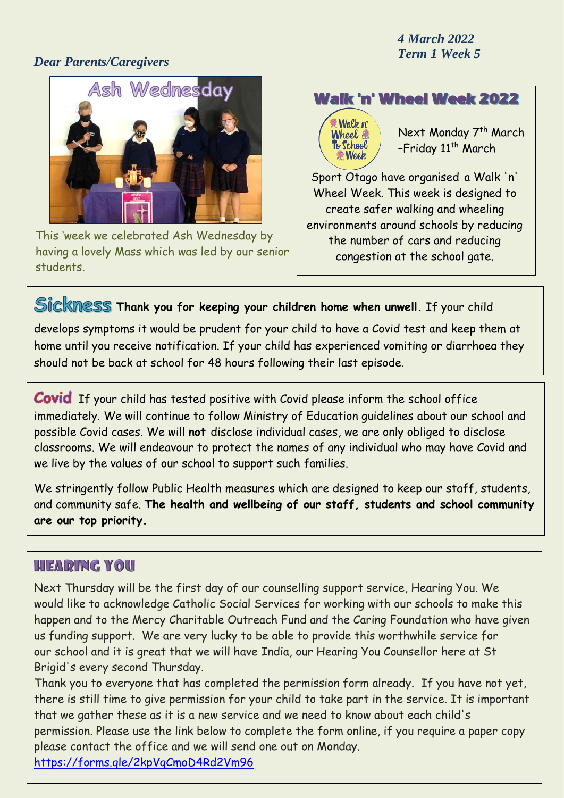### *Dear Parents/Caregivers*



This 'week we celebrated Ash Wednesday by having a lovely Mass which was led by our senior students.

## **Walk 'n' Wheel Week 2022**

Walk n' Wheel @ o School

Next Monday 7th March -Friday 11<sup>th</sup> March

Sport Otago have organised a Walk 'n' Wheel Week. This week is designed to create safer walking and wheeling environments around schools by reducing the number of cars and reducing congestion at the school gate.

## **Thank you for keeping your children home when unwell.** If your child

develops symptoms it would be prudent for your child to have a Covid test and keep them at home until you receive notification. If your child has experienced vomiting or diarrhoea they should not be back at school for 48 hours following their last episode.

**Covid** If your child has tested positive with Covid please inform the school office immediately. We will continue to follow Ministry of Education guidelines about our school and possible Covid cases. We will **not** disclose individual cases, we are only obliged to disclose classrooms. We will endeavour to protect the names of any individual who may have Covid and we live by the values of our school to support such families.

We stringently follow Public Health measures which are designed to keep our staff, students, and community safe. **The health and wellbeing of our staff, students and school community are our top priority.**

### **HEARING YOU**

Next Thursday will be the first day of our counselling support service, Hearing You. We would like to acknowledge Catholic Social Services for working with our schools to make this happen and to the Mercy Charitable Outreach Fund and the Caring Foundation who have given us funding support. We are very lucky to be able to provide this worthwhile service for our school and it is great that we will have India, our Hearing You Counsellor here at St Brigid's every second Thursday.

Thank you to everyone that has completed the permission form already. If you have not yet, there is still time to give permission for your child to take part in the service. It is important that we gather these as it is a new service and we need to know about each child's permission. Please use the link below to complete the form online, if you require a paper copy please contact the office and we will send one out on Monday.

<https://forms.gle/2kpVgCmoD4Rd2Vm96>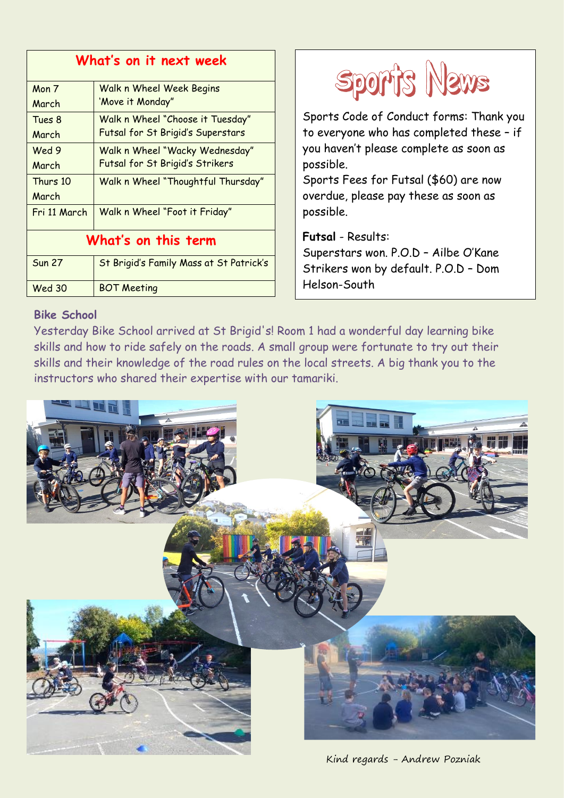| What's on it next week |                                         |
|------------------------|-----------------------------------------|
| Mon 7                  | <b>Walk n Wheel Week Begins</b>         |
| March                  | 'Move it Monday"                        |
| Tues 8                 | Walk n Wheel "Choose it Tuesday"        |
| March                  | Futsal for St Brigid's Superstars       |
| Wed 9                  | Walk n Wheel "Wacky Wednesday"          |
| March                  | Futsal for St Brigid's Strikers         |
| Thurs 10               | Walk n Wheel "Thoughtful Thursday"      |
| March                  |                                         |
| Fri 11 March           | Walk n Wheel "Foot it Friday"           |
| What's on this term    |                                         |
| <b>Sun 27</b>          | St Brigid's Family Mass at St Patrick's |
| <b>Wed 30</b>          | <b>BOT Meeting</b>                      |
|                        |                                         |



Sports Code of Conduct forms: Thank you to everyone who has completed these – if you haven't please complete as soon as possible.

Sports Fees for Futsal (\$60) are now overdue, please pay these as soon as possible.

**Futsal** - Results: Superstars won. P.O.D – Ailbe O'Kane Strikers won by default. P.O.D – Dom Helson-South

#### **Bike School**

Yesterday Bike School arrived at St Brigid's! Room 1 had a wonderful day learning bike skills and how to ride safely on the roads. A small group were fortunate to try out their skills and their knowledge of the road rules on the local streets. A big thank you to the instructors who shared their expertise with our tamariki.



Kind regards - Andrew Pozniak